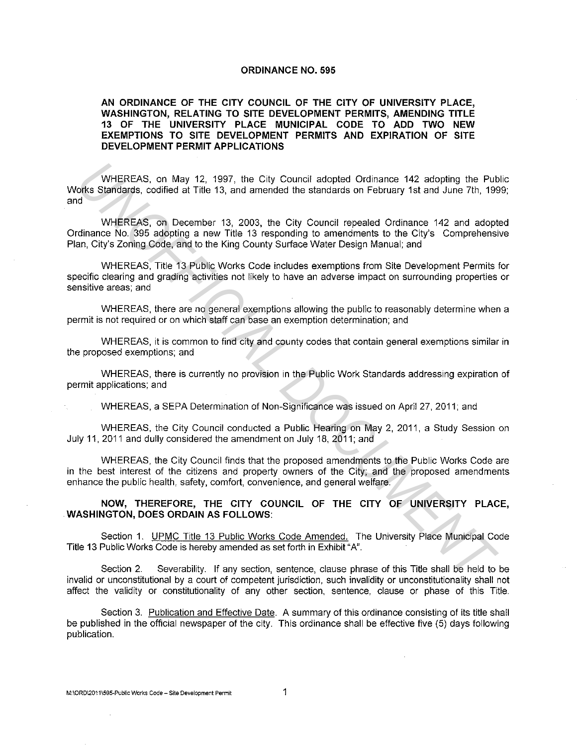## **ORDINANCE NO. 595**

## **AN ORDINANCE OF THE CITY COUNCIL OF THE CITY OF UNIVERSITY PLACE, WASHINGTON, RELATING TO SITE DEVELOPMENT PERMITS, AMENDING TITLE 13 OF THE UNIVERSITY PLACE MUNICIPAL CODE TO ADD TWO NEW EXEMPTIONS TO SITE DEVELOPMENT PERMITS AND EXPIRATION OF SITE DEVELOPMENT PERMIT APPLICATIONS**

WHEREAS, on May 12, 1997, the City Council adopted Ordinance 142 adopting the Public Works Standards, codified at Title 13, and amended the standards on February 1st and June 7th, 1999; and WHEREAS, on May 12, 1997, the City Council adopted Ordinance 142 adopting the Public Max Standards, codified at Title 13, and amended the standards on February 1st and June 7th, 199<br>
WHEREAS, on December 13, 2003, the City

WHEREAS, on December 13, 2003, the City Council repealed Ordinance 142 and adopted Ordinance No. 395 adopting a new Title 13 responding to amendments to the City's Comprehensive Plan, City's Zoning Code, and to the King County Surface Water Design Manual; and

WHEREAS, Title 13 Public Works Code includes exemptions from Site Development Permits for specific clearing and grading activities not likely to have an adverse impact on surrounding properties or sensitive areas; and

WHEREAS, there are no general exemptions allowing the public to reasonably determine when a permit is not required or on which staff can base an exemption determination; and

WHEREAS, it is common to find city and county codes that contain general exemptions similar in the proposed exemptions; and

WHEREAS, there is currently no provision in the Public Work Standards addressing expiration of permit applications; and

WHEREAS, a SEPA Determination of Non-Significance was issued on April 27, 2011; and

WHEREAS, the City Council conducted a Public Hearing on May 2, 2011, a Study Session on July 11, 2011 and dully considered the amendment on July 18, 2011; and

WHEREAS, the City Council finds that the proposed amendments to the Public Works Code are in the best interest of the citizens and property owners of the City; and the proposed amendments enhance the public health, safety, comfort, convenience, and general welfare.

**NOW, THEREFORE, THE CITY COUNCIL OF THE CITY OF UNIVERSITY PLACE, WASHINGTON, DOES ORDAIN AS FOLLOWS:** 

Section **1.** UPMC Title 13 Public Works Code Amended. The University Place Municipal Code Title 13 Public Works Code is hereby amended as set forth in Exhibit "A".

Section 2. Severability. If any section, sentence, clause phrase of this Title shall be held to be invalid or unconstitutional by a court of competent jurisdiction, such invalidity or unconstitutionality shall not affect the validity or constitutionality of any other section, sentence, clause or phase of this Title.

Section 3. Publication and Effective Date. A summary of this ordinance consisting of its title shall be published in the official newspaper of the city. This ordinance shall be effective five (5) days following publication.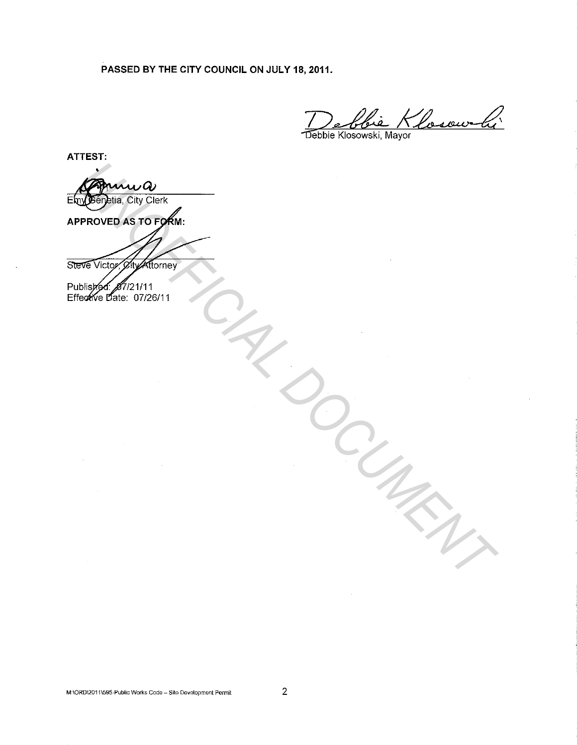PASSED BY THE CITY COUNCIL ON JULY 18, 2011.

ie Klosowki

Debbie Klosowski, Mayor

ATTEST:

• Eny Génetia, City Clerk APPROVED AS TO FORM: *UNOFFICIAL DOCUMENT*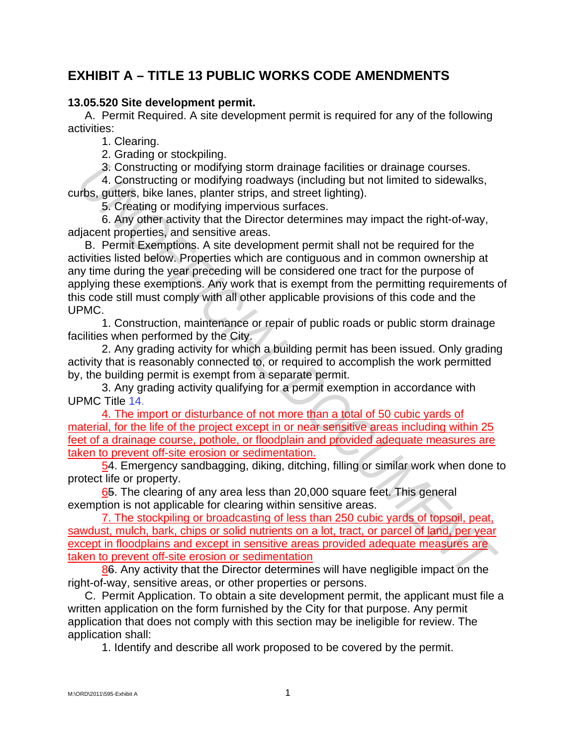## **EXHIBIT A – TITLE 13 PUBLIC WORKS CODE AMENDMENTS**

## **13.05.520 Site development permit.**

A. Permit Required. A site development permit is required for any of the following activities:

1. Clearing.

2. Grading or stockpiling.

3. Constructing or modifying storm drainage facilities or drainage courses.

4. Constructing or modifying roadways (including but not limited to sidewalks, curbs, gutters, bike lanes, planter strips, and street lighting).

5. Creating or modifying impervious surfaces.

6. Any other activity that the Director determines may impact the right-of-way, adjacent properties, and sensitive areas.

B. Permit Exemptions. A site development permit shall not be required for the activities listed below. Properties which are contiguous and in common ownership at any time during the year preceding will be considered one tract for the purpose of applying these exemptions. Any work that is exempt from the permitting requirements of this code still must comply with all other applicable provisions of this code and the UPMC. 3. Constructing or modifying storm drainage factitities or drainage courses.<br>4. Constructing or modifying roadways (including but not limited to sidewalks,<br>this, gutters, bike lanes, planter strips, and strete lighting).<br>5

1. Construction, maintenance or repair of public roads or public storm drainage facilities when performed by the City.

2. Any grading activity for which a building permit has been issued. Only grading activity that is reasonably connected to, or required to accomplish the work permitted by, the building permit is exempt from a separate permit.

3. Any grading activity qualifying for a permit exemption in accordance with UPMC Title 14.

4. The import or disturbance of not more than a total of 50 cubic yards of material, for the life of the project except in or near sensitive areas including within 25 feet of a drainage course, pothole, or floodplain and provided adequate measures are taken to prevent off-site erosion or sedimentation.

54. Emergency sandbagging, diking, ditching, filling or similar work when done to protect life or property.

65. The clearing of any area less than 20,000 square feet. This general exemption is not applicable for clearing within sensitive areas.

7. The stockpiling or broadcasting of less than 250 cubic yards of topsoil, peat, sawdust, mulch, bark, chips or solid nutrients on a lot, tract, or parcel of land, per year except in floodplains and except in sensitive areas provided adequate measures are taken to prevent off-site erosion or sedimentation

86. Any activity that the Director determines will have negligible impact on the right-of-way, sensitive areas, or other properties or persons.

C. Permit Application. To obtain a site development permit, the applicant must file a written application on the form furnished by the City for that purpose. Any permit application that does not comply with this section may be ineligible for review. The application shall:

1. Identify and describe all work proposed to be covered by the permit.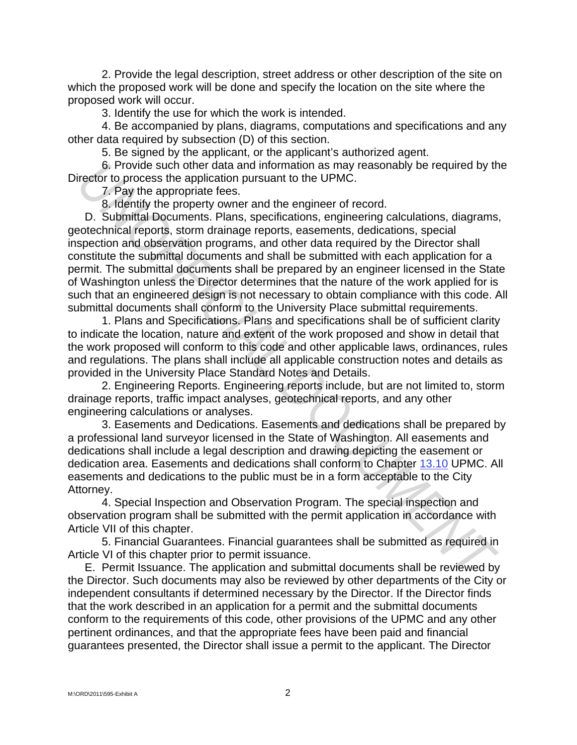2. Provide the legal description, street address or other description of the site on which the proposed work will be done and specify the location on the site where the proposed work will occur.

3. Identify the use for which the work is intended.

4. Be accompanied by plans, diagrams, computations and specifications and any other data required by subsection (D) of this section.

5. Be signed by the applicant, or the applicant's authorized agent.

6. Provide such other data and information as may reasonably be required by the Director to process the application pursuant to the UPMC.

7. Pay the appropriate fees.

8. Identify the property owner and the engineer of record.

D. Submittal Documents. Plans, specifications, engineering calculations, diagrams, geotechnical reports, storm drainage reports, easements, dedications, special inspection and observation programs, and other data required by the Director shall constitute the submittal documents and shall be submitted with each application for a permit. The submittal documents shall be prepared by an engineer licensed in the State of Washington unless the Director determines that the nature of the work applied for is such that an engineered design is not necessary to obtain compliance with this code. All submittal documents shall conform to the University Place submittal requirements. **6.** Provide such other data and information as may reasonably be required by the record information as may reasonably be required by the properties of the appropriate fees.<br>
7. Pay the appropriate fees.<br> **U.** Submittal Do

1. Plans and Specifications. Plans and specifications shall be of sufficient clarity to indicate the location, nature and extent of the work proposed and show in detail that the work proposed will conform to this code and other applicable laws, ordinances, rules and regulations. The plans shall include all applicable construction notes and details as provided in the University Place Standard Notes and Details.

2. Engineering Reports. Engineering reports include, but are not limited to, storm drainage reports, traffic impact analyses, geotechnical reports, and any other engineering calculations or analyses.

3. Easements and Dedications. Easements and dedications shall be prepared by a professional land surveyor licensed in the State of Washington. All easements and dedications shall include a legal description and drawing depicting the easement or dedication area. Easements and dedications shall conform to Chapter 13.10 UPMC. All easements and dedications to the public must be in a form acceptable to the City Attorney.

4. Special Inspection and Observation Program. The special inspection and observation program shall be submitted with the permit application in accordance with Article VII of this chapter.

5. Financial Guarantees. Financial guarantees shall be submitted as required in Article VI of this chapter prior to permit issuance.

E. Permit Issuance. The application and submittal documents shall be reviewed by the Director. Such documents may also be reviewed by other departments of the City or independent consultants if determined necessary by the Director. If the Director finds that the work described in an application for a permit and the submittal documents conform to the requirements of this code, other provisions of the UPMC and any other pertinent ordinances, and that the appropriate fees have been paid and financial guarantees presented, the Director shall issue a permit to the applicant. The Director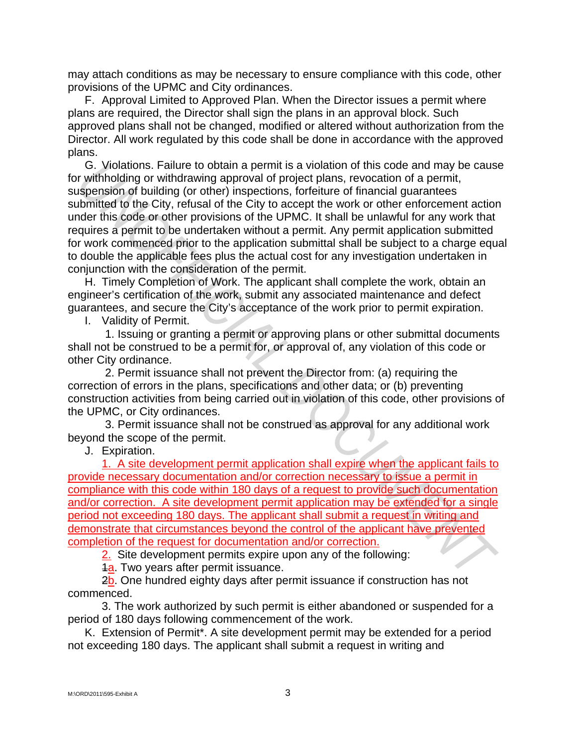may attach conditions as may be necessary to ensure compliance with this code, other provisions of the UPMC and City ordinances.

F. Approval Limited to Approved Plan. When the Director issues a permit where plans are required, the Director shall sign the plans in an approval block. Such approved plans shall not be changed, modified or altered without authorization from the Director. All work regulated by this code shall be done in accordance with the approved plans.

G. Violations. Failure to obtain a permit is a violation of this code and may be cause for withholding or withdrawing approval of project plans, revocation of a permit, suspension of building (or other) inspections, forfeiture of financial guarantees submitted to the City, refusal of the City to accept the work or other enforcement action under this code or other provisions of the UPMC. It shall be unlawful for any work that requires a permit to be undertaken without a permit. Any permit application submitted for work commenced prior to the application submittal shall be subject to a charge equal to double the applicable fees plus the actual cost for any investigation undertaken in conjunction with the consideration of the permit. G. Violations. Failure to obtain a permit is a violation of this code and may be causare, if a violation of the city, returnation of the computering to the City of the computering approval of project phase, revocation of a

H. Timely Completion of Work. The applicant shall complete the work, obtain an engineer's certification of the work, submit any associated maintenance and defect guarantees, and secure the City's acceptance of the work prior to permit expiration.

I. Validity of Permit.

1. Issuing or granting a permit or approving plans or other submittal documents shall not be construed to be a permit for, or approval of, any violation of this code or other City ordinance.

2. Permit issuance shall not prevent the Director from: (a) requiring the correction of errors in the plans, specifications and other data; or (b) preventing construction activities from being carried out in violation of this code, other provisions of the UPMC, or City ordinances.

3. Permit issuance shall not be construed as approval for any additional work beyond the scope of the permit.

J. Expiration.

1. A site development permit application shall expire when the applicant fails to provide necessary documentation and/or correction necessary to issue a permit in compliance with this code within 180 days of a request to provide such documentation and/or correction. A site development permit application may be extended for a single period not exceeding 180 days. The applicant shall submit a request in writing and demonstrate that circumstances beyond the control of the applicant have prevented completion of the request for documentation and/or correction.

2. Site development permits expire upon any of the following:

**1a.** Two years after permit issuance.

2b. One hundred eighty days after permit issuance if construction has not commenced.

3. The work authorized by such permit is either abandoned or suspended for a period of 180 days following commencement of the work.

K. Extension of Permit\*. A site development permit may be extended for a period not exceeding 180 days. The applicant shall submit a request in writing and